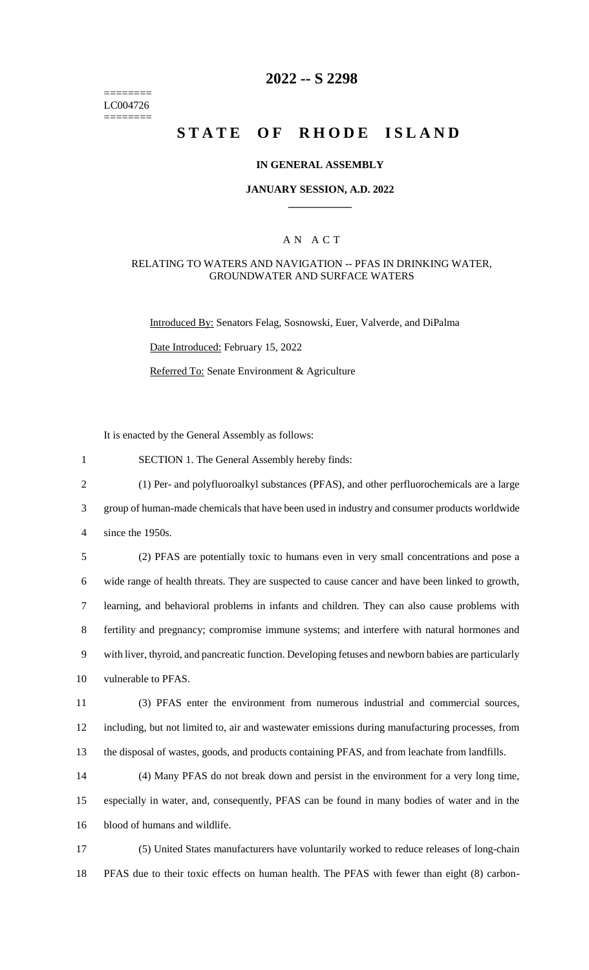======== LC004726 ========

# **2022 -- S 2298**

# **STATE OF RHODE ISLAND**

#### **IN GENERAL ASSEMBLY**

#### **JANUARY SESSION, A.D. 2022 \_\_\_\_\_\_\_\_\_\_\_\_**

#### A N A C T

#### RELATING TO WATERS AND NAVIGATION -- PFAS IN DRINKING WATER, GROUNDWATER AND SURFACE WATERS

Introduced By: Senators Felag, Sosnowski, Euer, Valverde, and DiPalma

Date Introduced: February 15, 2022

Referred To: Senate Environment & Agriculture

It is enacted by the General Assembly as follows:

1 SECTION 1. The General Assembly hereby finds:

2 (1) Per- and polyfluoroalkyl substances (PFAS), and other perfluorochemicals are a large

3 group of human-made chemicals that have been used in industry and consumer products worldwide

4 since the 1950s.

 (2) PFAS are potentially toxic to humans even in very small concentrations and pose a wide range of health threats. They are suspected to cause cancer and have been linked to growth, learning, and behavioral problems in infants and children. They can also cause problems with fertility and pregnancy; compromise immune systems; and interfere with natural hormones and with liver, thyroid, and pancreatic function. Developing fetuses and newborn babies are particularly vulnerable to PFAS.

11 (3) PFAS enter the environment from numerous industrial and commercial sources, 12 including, but not limited to, air and wastewater emissions during manufacturing processes, from 13 the disposal of wastes, goods, and products containing PFAS, and from leachate from landfills.

14 (4) Many PFAS do not break down and persist in the environment for a very long time, 15 especially in water, and, consequently, PFAS can be found in many bodies of water and in the 16 blood of humans and wildlife.

17 (5) United States manufacturers have voluntarily worked to reduce releases of long-chain 18 PFAS due to their toxic effects on human health. The PFAS with fewer than eight (8) carbon-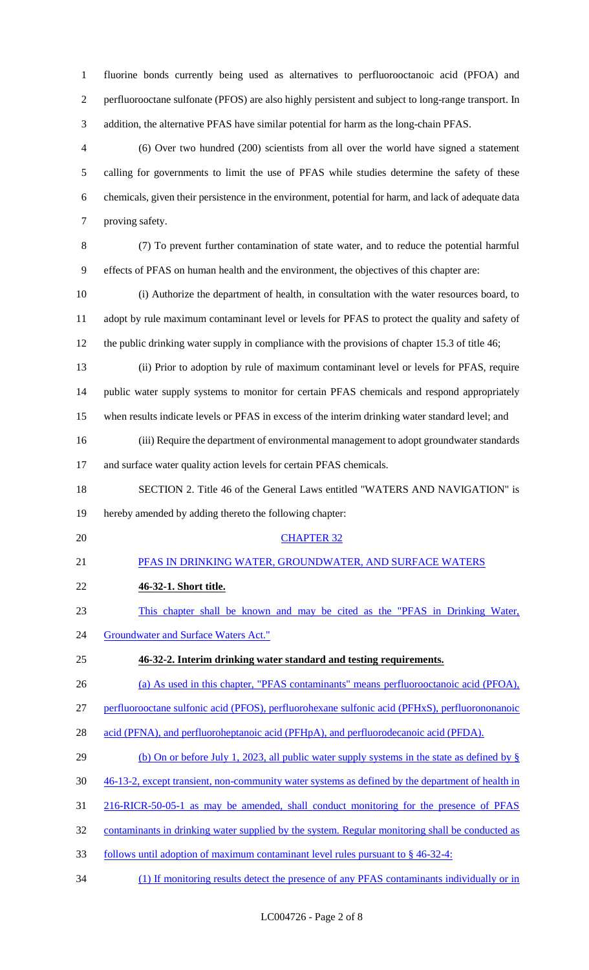fluorine bonds currently being used as alternatives to perfluorooctanoic acid (PFOA) and perfluorooctane sulfonate (PFOS) are also highly persistent and subject to long-range transport. In addition, the alternative PFAS have similar potential for harm as the long-chain PFAS.

 (6) Over two hundred (200) scientists from all over the world have signed a statement calling for governments to limit the use of PFAS while studies determine the safety of these chemicals, given their persistence in the environment, potential for harm, and lack of adequate data proving safety.

 (7) To prevent further contamination of state water, and to reduce the potential harmful effects of PFAS on human health and the environment, the objectives of this chapter are:

 (i) Authorize the department of health, in consultation with the water resources board, to adopt by rule maximum contaminant level or levels for PFAS to protect the quality and safety of the public drinking water supply in compliance with the provisions of chapter 15.3 of title 46;

- (ii) Prior to adoption by rule of maximum contaminant level or levels for PFAS, require public water supply systems to monitor for certain PFAS chemicals and respond appropriately when results indicate levels or PFAS in excess of the interim drinking water standard level; and
- (iii) Require the department of environmental management to adopt groundwater standards 17 and surface water quality action levels for certain PFAS chemicals.
- SECTION 2. Title 46 of the General Laws entitled "WATERS AND NAVIGATION" is hereby amended by adding thereto the following chapter:
- 

# CHAPTER 32

- PFAS IN DRINKING WATER, GROUNDWATER, AND SURFACE WATERS
- **46-32-1. Short title.**
- This chapter shall be known and may be cited as the "PFAS in Drinking Water,
- 24 Groundwater and Surface Waters Act."

# **46-32-2. Interim drinking water standard and testing requirements.**

(a) As used in this chapter, "PFAS contaminants" means perfluorooctanoic acid (PFOA),

perfluorooctane sulfonic acid (PFOS), perfluorohexane sulfonic acid (PFHxS), perfluorononanoic

- 28 acid (PFNA), and perfluoroheptanoic acid (PFHpA), and perfluorodecanoic acid (PFDA).
- 29 (b) On or before July 1, 2023, all public water supply systems in the state as defined by §
- 46-13-2, except transient, non-community water systems as defined by the department of health in
- 216-RICR-50-05-1 as may be amended, shall conduct monitoring for the presence of PFAS
- contaminants in drinking water supplied by the system. Regular monitoring shall be conducted as
- follows until adoption of maximum contaminant level rules pursuant to § 46-32-4:
- (1) If monitoring results detect the presence of any PFAS contaminants individually or in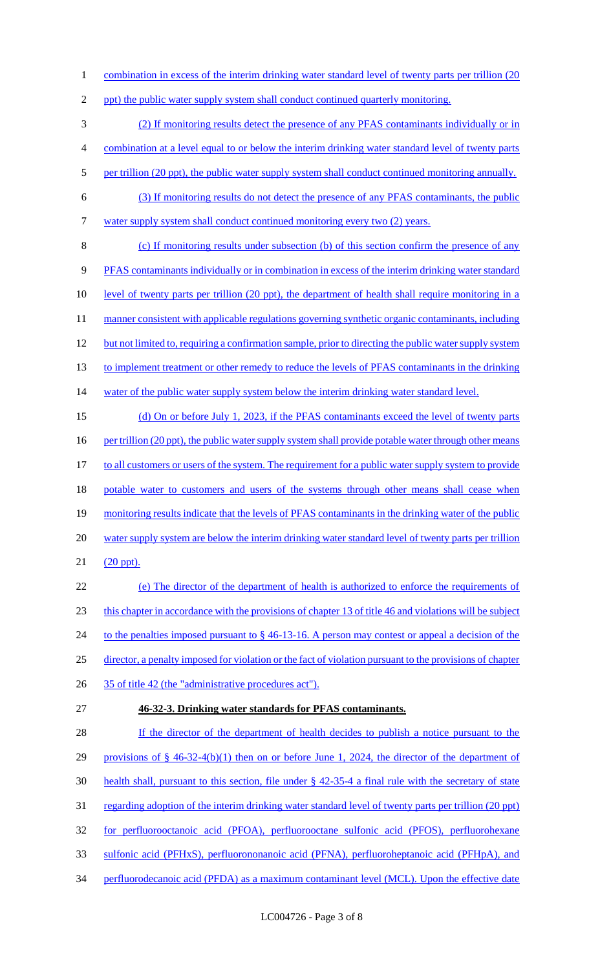1 combination in excess of the interim drinking water standard level of twenty parts per trillion (20

2 ppt) the public water supply system shall conduct continued quarterly monitoring.

3 (2) If monitoring results detect the presence of any PFAS contaminants individually or in

4 combination at a level equal to or below the interim drinking water standard level of twenty parts

- 5 per trillion (20 ppt), the public water supply system shall conduct continued monitoring annually.
- 6 (3) If monitoring results do not detect the presence of any PFAS contaminants, the public 7 water supply system shall conduct continued monitoring every two (2) years.

8 (c) If monitoring results under subsection (b) of this section confirm the presence of any 9 PFAS contaminants individually or in combination in excess of the interim drinking water standard 10 level of twenty parts per trillion (20 ppt), the department of health shall require monitoring in a 11 manner consistent with applicable regulations governing synthetic organic contaminants, including 12 but not limited to, requiring a confirmation sample, prior to directing the public water supply system 13 to implement treatment or other remedy to reduce the levels of PFAS contaminants in the drinking 14 water of the public water supply system below the interim drinking water standard level.

15 (d) On or before July 1, 2023, if the PFAS contaminants exceed the level of twenty parts 16 per trillion (20 ppt), the public water supply system shall provide potable water through other means 17 to all customers or users of the system. The requirement for a public water supply system to provide 18 potable water to customers and users of the systems through other means shall cease when 19 monitoring results indicate that the levels of PFAS contaminants in the drinking water of the public 20 water supply system are below the interim drinking water standard level of twenty parts per trillion 21 (20 ppt).

22 (e) The director of the department of health is authorized to enforce the requirements of 23 this chapter in accordance with the provisions of chapter 13 of title 46 and violations will be subject 24 to the penalties imposed pursuant to § 46-13-16. A person may contest or appeal a decision of the 25 director, a penalty imposed for violation or the fact of violation pursuant to the provisions of chapter 26 35 of title 42 (the "administrative procedures act").

27 **46-32-3. Drinking water standards for PFAS contaminants.** 

28 If the director of the department of health decides to publish a notice pursuant to the 29 provisions of § 46-32-4(b)(1) then on or before June 1, 2024, the director of the department of 30 health shall, pursuant to this section, file under § 42-35-4 a final rule with the secretary of state 31 regarding adoption of the interim drinking water standard level of twenty parts per trillion (20 ppt) 32 for perfluorooctanoic acid (PFOA), perfluorooctane sulfonic acid (PFOS), perfluorohexane 33 sulfonic acid (PFHxS), perfluorononanoic acid (PFNA), perfluoroheptanoic acid (PFHpA), and 34 perfluorodecanoic acid (PFDA) as a maximum contaminant level (MCL). Upon the effective date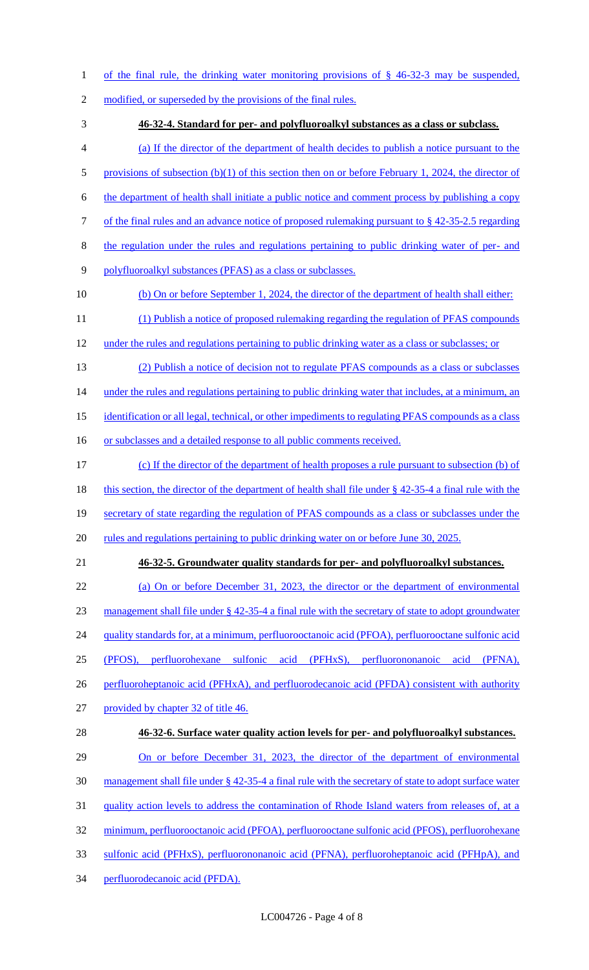- of the final rule, the drinking water monitoring provisions of § 46-32-3 may be suspended,
- 2 modified, or superseded by the provisions of the final rules.
- **46-32-4. Standard for per- and polyfluoroalkyl substances as a class or subclass.**
- (a) If the director of the department of health decides to publish a notice pursuant to the
- 5 provisions of subsection (b)(1) of this section then on or before February 1, 2024, the director of
- the department of health shall initiate a public notice and comment process by publishing a copy
- of the final rules and an advance notice of proposed rulemaking pursuant to § 42-35-2.5 regarding
- 8 the regulation under the rules and regulations pertaining to public drinking water of per- and
- polyfluoroalkyl substances (PFAS) as a class or subclasses.
- 10 (b) On or before September 1, 2024, the director of the department of health shall either:
- (1) Publish a notice of proposed rulemaking regarding the regulation of PFAS compounds
- under the rules and regulations pertaining to public drinking water as a class or subclasses; or
- (2) Publish a notice of decision not to regulate PFAS compounds as a class or subclasses 14 under the rules and regulations pertaining to public drinking water that includes, at a minimum, an
- 15 identification or all legal, technical, or other impediments to regulating PFAS compounds as a class
- 16 or subclasses and a detailed response to all public comments received.
- (c) If the director of the department of health proposes a rule pursuant to subsection (b) of
- 18 this section, the director of the department of health shall file under § 42-35-4 a final rule with the
- secretary of state regarding the regulation of PFAS compounds as a class or subclasses under the
- 20 rules and regulations pertaining to public drinking water on or before June 30, 2025.
- 

#### **46-32-5. Groundwater quality standards for per- and polyfluoroalkyl substances.**

- (a) On or before December 31, 2023, the director or the department of environmental management shall file under § 42-35-4 a final rule with the secretary of state to adopt groundwater 24 quality standards for, at a minimum, perfluorooctanoic acid (PFOA), perfluorooctane sulfonic acid (PFOS), perfluorohexane sulfonic acid (PFHxS), perfluorononanoic acid (PFNA), 26 perfluoroheptanoic acid (PFHxA), and perfluorodecanoic acid (PFDA) consistent with authority provided by chapter 32 of title 46. **46-32-6. Surface water quality action levels for per- and polyfluoroalkyl substances.**  29 On or before December 31, 2023, the director of the department of environmental management shall file under § 42-35-4 a final rule with the secretary of state to adopt surface water quality action levels to address the contamination of Rhode Island waters from releases of, at a
- minimum, perfluorooctanoic acid (PFOA), perfluorooctane sulfonic acid (PFOS), perfluorohexane
- sulfonic acid (PFHxS), perfluorononanoic acid (PFNA), perfluoroheptanoic acid (PFHpA), and
- perfluorodecanoic acid (PFDA).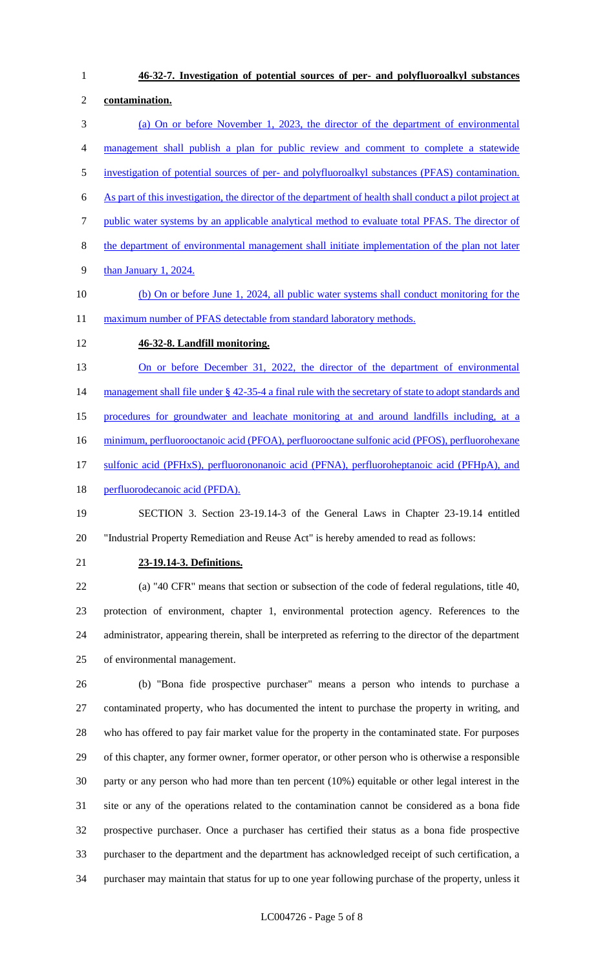**46-32-7. Investigation of potential sources of per- and polyfluoroalkyl substances contamination.**  (a) On or before November 1, 2023, the director of the department of environmental management shall publish a plan for public review and comment to complete a statewide investigation of potential sources of per- and polyfluoroalkyl substances (PFAS) contamination. As part of this investigation, the director of the department of health shall conduct a pilot project at public water systems by an applicable analytical method to evaluate total PFAS. The director of the department of environmental management shall initiate implementation of the plan not later than January 1, 2024. (b) On or before June 1, 2024, all public water systems shall conduct monitoring for the 11 maximum number of PFAS detectable from standard laboratory methods. **46-32-8. Landfill monitoring.**  13 On or before December 31, 2022, the director of the department of environmental 14 management shall file under § 42-35-4 a final rule with the secretary of state to adopt standards and procedures for groundwater and leachate monitoring at and around landfills including, at a minimum, perfluorooctanoic acid (PFOA), perfluorooctane sulfonic acid (PFOS), perfluorohexane

17 sulfonic acid (PFHxS), perfluorononanoic acid (PFNA), perfluoroheptanoic acid (PFHpA), and

18 perfluorodecanoic acid (PFDA).

 SECTION 3. Section 23-19.14-3 of the General Laws in Chapter 23-19.14 entitled "Industrial Property Remediation and Reuse Act" is hereby amended to read as follows:

#### **23-19.14-3. Definitions.**

 (a) "40 CFR" means that section or subsection of the code of federal regulations, title 40, protection of environment, chapter 1, environmental protection agency. References to the administrator, appearing therein, shall be interpreted as referring to the director of the department of environmental management.

 (b) "Bona fide prospective purchaser" means a person who intends to purchase a contaminated property, who has documented the intent to purchase the property in writing, and who has offered to pay fair market value for the property in the contaminated state. For purposes of this chapter, any former owner, former operator, or other person who is otherwise a responsible party or any person who had more than ten percent (10%) equitable or other legal interest in the site or any of the operations related to the contamination cannot be considered as a bona fide prospective purchaser. Once a purchaser has certified their status as a bona fide prospective purchaser to the department and the department has acknowledged receipt of such certification, a purchaser may maintain that status for up to one year following purchase of the property, unless it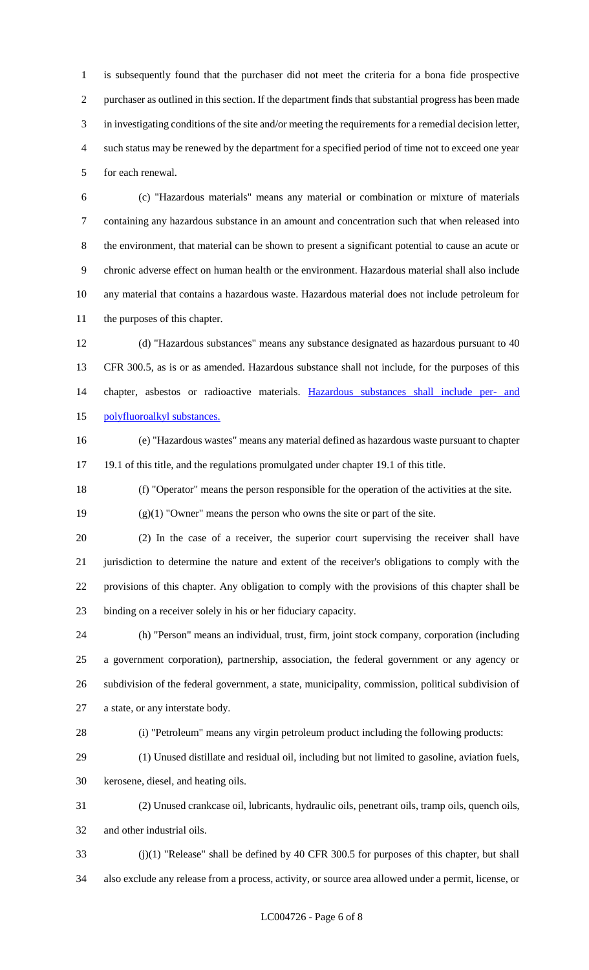is subsequently found that the purchaser did not meet the criteria for a bona fide prospective purchaser as outlined in this section. If the department finds that substantial progress has been made in investigating conditions of the site and/or meeting the requirements for a remedial decision letter, such status may be renewed by the department for a specified period of time not to exceed one year for each renewal.

 (c) "Hazardous materials" means any material or combination or mixture of materials containing any hazardous substance in an amount and concentration such that when released into the environment, that material can be shown to present a significant potential to cause an acute or chronic adverse effect on human health or the environment. Hazardous material shall also include any material that contains a hazardous waste. Hazardous material does not include petroleum for the purposes of this chapter.

 (d) "Hazardous substances" means any substance designated as hazardous pursuant to 40 CFR 300.5, as is or as amended. Hazardous substance shall not include, for the purposes of this chapter, asbestos or radioactive materials. Hazardous substances shall include per- and polyfluoroalkyl substances.

 (e) "Hazardous wastes" means any material defined as hazardous waste pursuant to chapter 19.1 of this title, and the regulations promulgated under chapter 19.1 of this title.

(f) "Operator" means the person responsible for the operation of the activities at the site.

(g)(1) "Owner" means the person who owns the site or part of the site.

 (2) In the case of a receiver, the superior court supervising the receiver shall have jurisdiction to determine the nature and extent of the receiver's obligations to comply with the provisions of this chapter. Any obligation to comply with the provisions of this chapter shall be binding on a receiver solely in his or her fiduciary capacity.

 (h) "Person" means an individual, trust, firm, joint stock company, corporation (including a government corporation), partnership, association, the federal government or any agency or subdivision of the federal government, a state, municipality, commission, political subdivision of a state, or any interstate body.

(i) "Petroleum" means any virgin petroleum product including the following products:

(1) Unused distillate and residual oil, including but not limited to gasoline, aviation fuels,

kerosene, diesel, and heating oils.

 (2) Unused crankcase oil, lubricants, hydraulic oils, penetrant oils, tramp oils, quench oils, and other industrial oils.

 (j)(1) "Release" shall be defined by 40 CFR 300.5 for purposes of this chapter, but shall also exclude any release from a process, activity, or source area allowed under a permit, license, or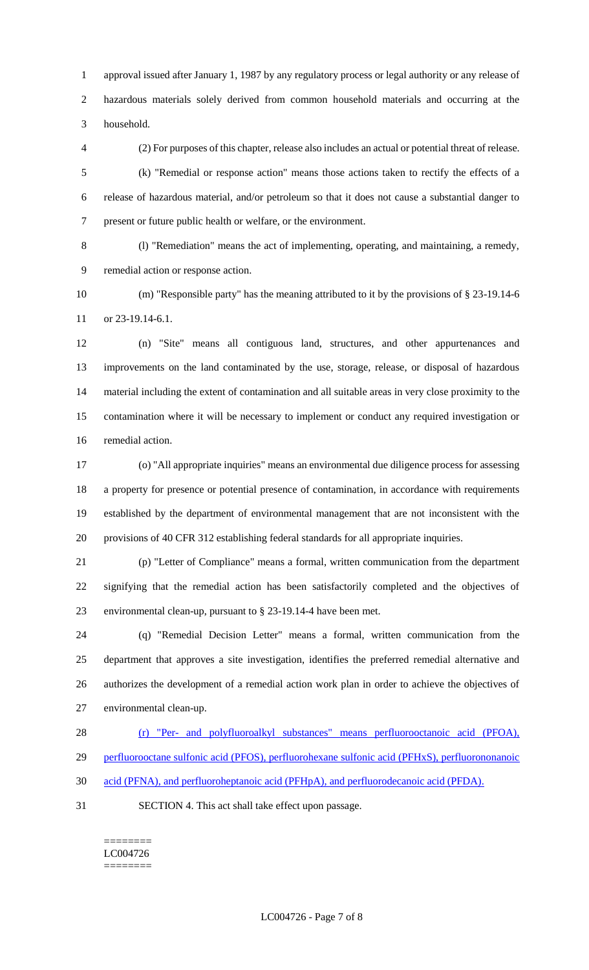approval issued after January 1, 1987 by any regulatory process or legal authority or any release of hazardous materials solely derived from common household materials and occurring at the household.

 (2) For purposes of this chapter, release also includes an actual or potential threat of release. (k) "Remedial or response action" means those actions taken to rectify the effects of a release of hazardous material, and/or petroleum so that it does not cause a substantial danger to present or future public health or welfare, or the environment.

 (l) "Remediation" means the act of implementing, operating, and maintaining, a remedy, remedial action or response action.

 (m) "Responsible party" has the meaning attributed to it by the provisions of § 23-19.14-6 or 23-19.14-6.1.

 (n) "Site" means all contiguous land, structures, and other appurtenances and improvements on the land contaminated by the use, storage, release, or disposal of hazardous material including the extent of contamination and all suitable areas in very close proximity to the contamination where it will be necessary to implement or conduct any required investigation or remedial action.

 (o) "All appropriate inquiries" means an environmental due diligence process for assessing a property for presence or potential presence of contamination, in accordance with requirements established by the department of environmental management that are not inconsistent with the provisions of 40 CFR 312 establishing federal standards for all appropriate inquiries.

 (p) "Letter of Compliance" means a formal, written communication from the department signifying that the remedial action has been satisfactorily completed and the objectives of environmental clean-up, pursuant to § 23-19.14-4 have been met.

 (q) "Remedial Decision Letter" means a formal, written communication from the department that approves a site investigation, identifies the preferred remedial alternative and authorizes the development of a remedial action work plan in order to achieve the objectives of environmental clean-up.

(r) "Per- and polyfluoroalkyl substances" means perfluorooctanoic acid (PFOA),

perfluorooctane sulfonic acid (PFOS), perfluorohexane sulfonic acid (PFHxS), perfluorononanoic

acid (PFNA), and perfluoroheptanoic acid (PFHpA), and perfluorodecanoic acid (PFDA).

SECTION 4. This act shall take effect upon passage.

======== LC004726 ========